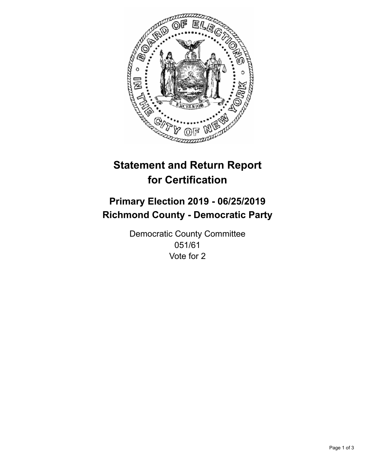

## **Statement and Return Report for Certification**

## **Primary Election 2019 - 06/25/2019 Richmond County - Democratic Party**

Democratic County Committee 051/61 Vote for 2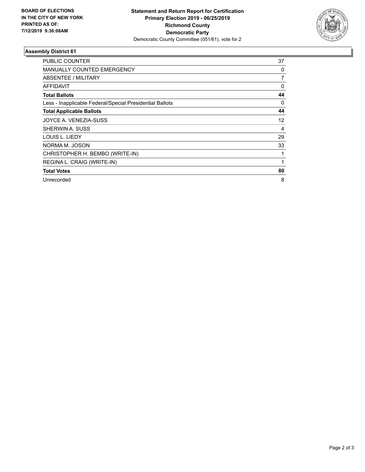

## **Assembly District 61**

| <b>PUBLIC COUNTER</b>                                    | 37 |
|----------------------------------------------------------|----|
| <b>MANUALLY COUNTED EMERGENCY</b>                        | 0  |
| ABSENTEE / MILITARY                                      | 7  |
| AFFIDAVIT                                                | 0  |
| <b>Total Ballots</b>                                     | 44 |
| Less - Inapplicable Federal/Special Presidential Ballots | 0  |
| <b>Total Applicable Ballots</b>                          | 44 |
| JOYCE A. VENEZIA-SUSS                                    | 12 |
| SHERWIN A. SUSS                                          | 4  |
| LOUIS L. LIEDY                                           | 29 |
| NORMA M. JOSON                                           | 33 |
| CHRISTOPHER H. BEMBO (WRITE-IN)                          | 1  |
| REGINA L. CRAIG (WRITE-IN)                               | 1  |
| <b>Total Votes</b>                                       | 80 |
| Unrecorded                                               | 8  |